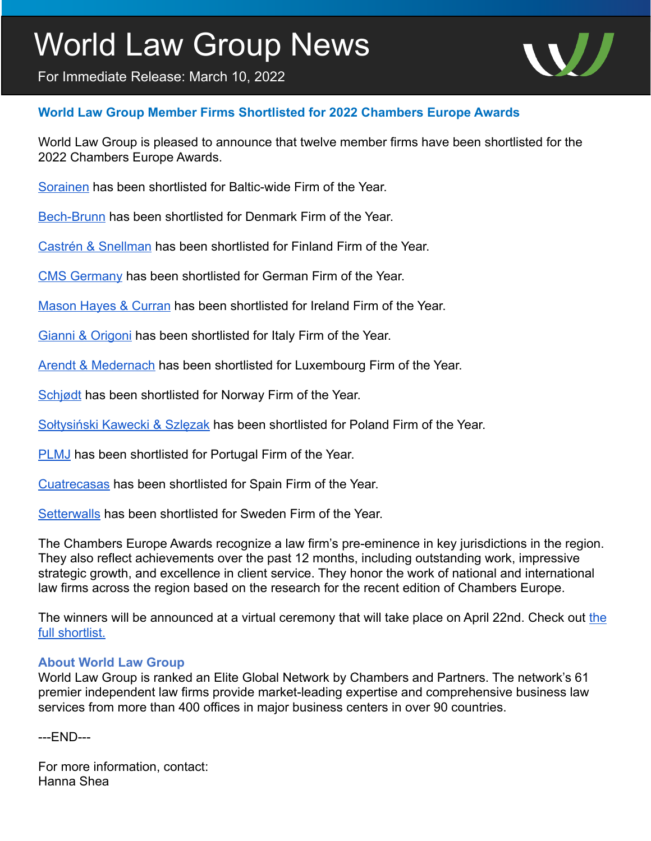## World Law Group News

For Immediate Release: March 10, 2022



## **World Law Group Member Firms Shortlisted for 2022 Chambers Europe Awards**

World Law Group is pleased to announce that twelve member firms have been shortlisted for the 2022 Chambers Europe Awards.

[Sorainen](https://www.theworldlawgroup.com/member-firms/sorainen) has been shortlisted for Baltic-wide Firm of the Year.

[Bech-Brunn](https://www.theworldlawgroup.com/member-firms/bech-bruun) has been shortlisted for Denmark Firm of the Year.

[Castrén & Snellman](https://www.theworldlawgroup.com/member-firms/castr%C3%A9n-snellman) has been shortlisted for Finland Firm of the Year.

[CMS Germany](https://www.theworldlawgroup.com/member-firms/cms-germany) has been shortlisted for German Firm of the Year.

[Mason Hayes & Curran](https://www.theworldlawgroup.com/member-firms/mason-hayes-curran) has been shortlisted for Ireland Firm of the Year.

[Gianni & Origoni](https://www.theworldlawgroup.com/member-firms/gianni-origoni-grippo-cappelli-partners) has been shortlisted for Italy Firm of the Year.

[Arendt & Medernach](https://www.theworldlawgroup.com/member-firms/arendt-medernach) has been shortlisted for Luxembourg Firm of the Year.

[Schjødt](https://www.theworldlawgroup.com/member-firms/advokatfirmaet-schj%C3%B8dt) has been shortlisted for Norway Firm of the Year.

Sołtysiń[ski Kawecki & Szl](https://www.theworldlawgroup.com/member-firms/soltysinski-kawecki-szlezak)ęzak has been shortlisted for Poland Firm of the Year.

**PLMJ** has been shortlisted for Portugal Firm of the Year.

[Cuatrecasas](https://www.theworldlawgroup.com/member-firms/cuatrecasas) has been shortlisted for Spain Firm of the Year.

[Setterwalls](https://www.theworldlawgroup.com/member-firms/setterwalls) has been shortlisted for Sweden Firm of the Year.

The Chambers Europe Awards recognize a law firm's pre-eminence in key jurisdictions in the region. They also reflect achievements over the past 12 months, including outstanding work, impressive strategic growth, and excellence in client service. They honor the work of national and international law firms across the region based on the research for the recent edition of Chambers Europe.

The winners will be announced at a virtual ceremony that will take place on April 22nd. Check out the [full shortlist.](https://chambers.com/events/chambers-europe-awards-2022)

## **About World Law Group**

World Law Group is ranked an Elite Global Network by Chambers and Partners. The network's 61 premier independent law firms provide market-leading expertise and comprehensive business law services from more than 400 offices in major business centers in over 90 countries.

---END---

For more information, contact: Hanna Shea